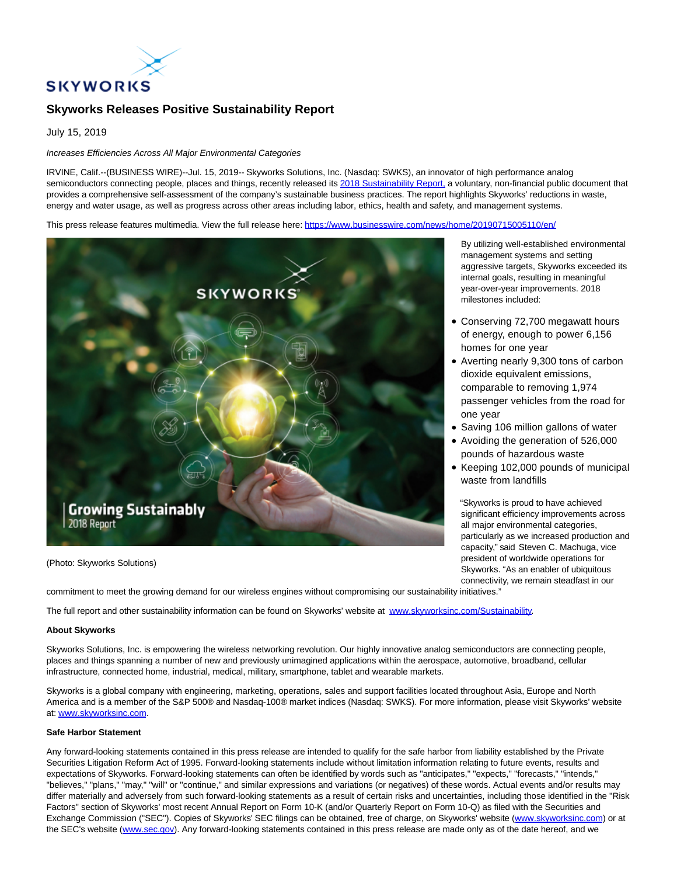

## **Skyworks Releases Positive Sustainability Report**

July 15, 2019

## Increases Efficiencies Across All Major Environmental Categories

IRVINE, Calif.--(BUSINESS WIRE)--Jul. 15, 2019-- Skyworks Solutions, Inc. (Nasdaq: SWKS), an innovator of high performance analog semiconductors connecting people, places and things, recently released its [2018 Sustainability Report, a](https://cts.businesswire.com/ct/CT?id=smartlink&url=http%3A%2F%2Fwww.skyworksinc.com%2Fdownloads%2FFlipbooks%2FSustainabilityReport2018%2Findex.html&esheet=52012599&newsitemid=20190715005110&lan=en-US&anchor=2018+Sustainability+Report%2C&index=1&md5=0510a10ccd9994d6296218b144bdc143) voluntary, non-financial public document that provides a comprehensive self-assessment of the company's sustainable business practices. The report highlights Skyworks' reductions in waste, energy and water usage, as well as progress across other areas including labor, ethics, health and safety, and management systems.

This press release features multimedia. View the full release here:<https://www.businesswire.com/news/home/20190715005110/en/>



(Photo: Skyworks Solutions)

By utilizing well-established environmental management systems and setting aggressive targets, Skyworks exceeded its internal goals, resulting in meaningful year-over-year improvements. 2018 milestones included:

- Conserving 72,700 megawatt hours of energy, enough to power 6,156 homes for one year
- Averting nearly 9,300 tons of carbon dioxide equivalent emissions, comparable to removing 1,974 passenger vehicles from the road for one year
- Saving 106 million gallons of water
- Avoiding the generation of 526,000 pounds of hazardous waste
- Keeping 102,000 pounds of municipal waste from landfills

"Skyworks is proud to have achieved significant efficiency improvements across all major environmental categories, particularly as we increased production and capacity," said Steven C. Machuga, vice president of worldwide operations for Skyworks. "As an enabler of ubiquitous connectivity, we remain steadfast in our

commitment to meet the growing demand for our wireless engines without compromising our sustainability initiatives."

The full report and other sustainability information can be found on Skyworks' website at [www.skyworksinc.com/Sustainability.](https://cts.businesswire.com/ct/CT?id=smartlink&url=http%3A%2F%2Fwww.skyworksinc.com%2FSustainability.aspx&esheet=52012599&newsitemid=20190715005110&lan=en-US&anchor=www.skyworksinc.com%2FSustainability&index=2&md5=6a75e69e4dd266b300163623474b649a)

## **About Skyworks**

Skyworks Solutions, Inc. is empowering the wireless networking revolution. Our highly innovative analog semiconductors are connecting people, places and things spanning a number of new and previously unimagined applications within the aerospace, automotive, broadband, cellular infrastructure, connected home, industrial, medical, military, smartphone, tablet and wearable markets.

Skyworks is a global company with engineering, marketing, operations, sales and support facilities located throughout Asia, Europe and North America and is a member of the S&P 500® and Nasdaq-100® market indices (Nasdaq: SWKS). For more information, please visit Skyworks' website at: [www.skyworksinc.com.](https://cts.businesswire.com/ct/CT?id=smartlink&url=http%3A%2F%2Fwww.skyworksinc.com&esheet=52012599&newsitemid=20190715005110&lan=en-US&anchor=www.skyworksinc.com&index=3&md5=b24ff7798be2bedf6ec040a0859c14a2)

## **Safe Harbor Statement**

Any forward-looking statements contained in this press release are intended to qualify for the safe harbor from liability established by the Private Securities Litigation Reform Act of 1995. Forward-looking statements include without limitation information relating to future events, results and expectations of Skyworks. Forward-looking statements can often be identified by words such as "anticipates," "expects," "forecasts," "intends," "believes," "plans," "may," "will" or "continue," and similar expressions and variations (or negatives) of these words. Actual events and/or results may differ materially and adversely from such forward-looking statements as a result of certain risks and uncertainties, including those identified in the "Risk Factors" section of Skyworks' most recent Annual Report on Form 10-K (and/or Quarterly Report on Form 10-Q) as filed with the Securities and Exchange Commission ("SEC"). Copies of Skyworks' SEC filings can be obtained, free of charge, on Skyworks' website [\(www.skyworksinc.com\)](https://cts.businesswire.com/ct/CT?id=smartlink&url=http%3A%2F%2Fwww.skyworksinc.com&esheet=52012599&newsitemid=20190715005110&lan=en-US&anchor=www.skyworksinc.com&index=4&md5=fd8017e078b10956834d1379d18ba143) or at the SEC's website [\(www.sec.gov\).](https://cts.businesswire.com/ct/CT?id=smartlink&url=http%3A%2F%2Fwww.sec.gov&esheet=52012599&newsitemid=20190715005110&lan=en-US&anchor=www.sec.gov&index=5&md5=71fd8247da6aa9b7129368993ecb6e5f) Any forward-looking statements contained in this press release are made only as of the date hereof, and we